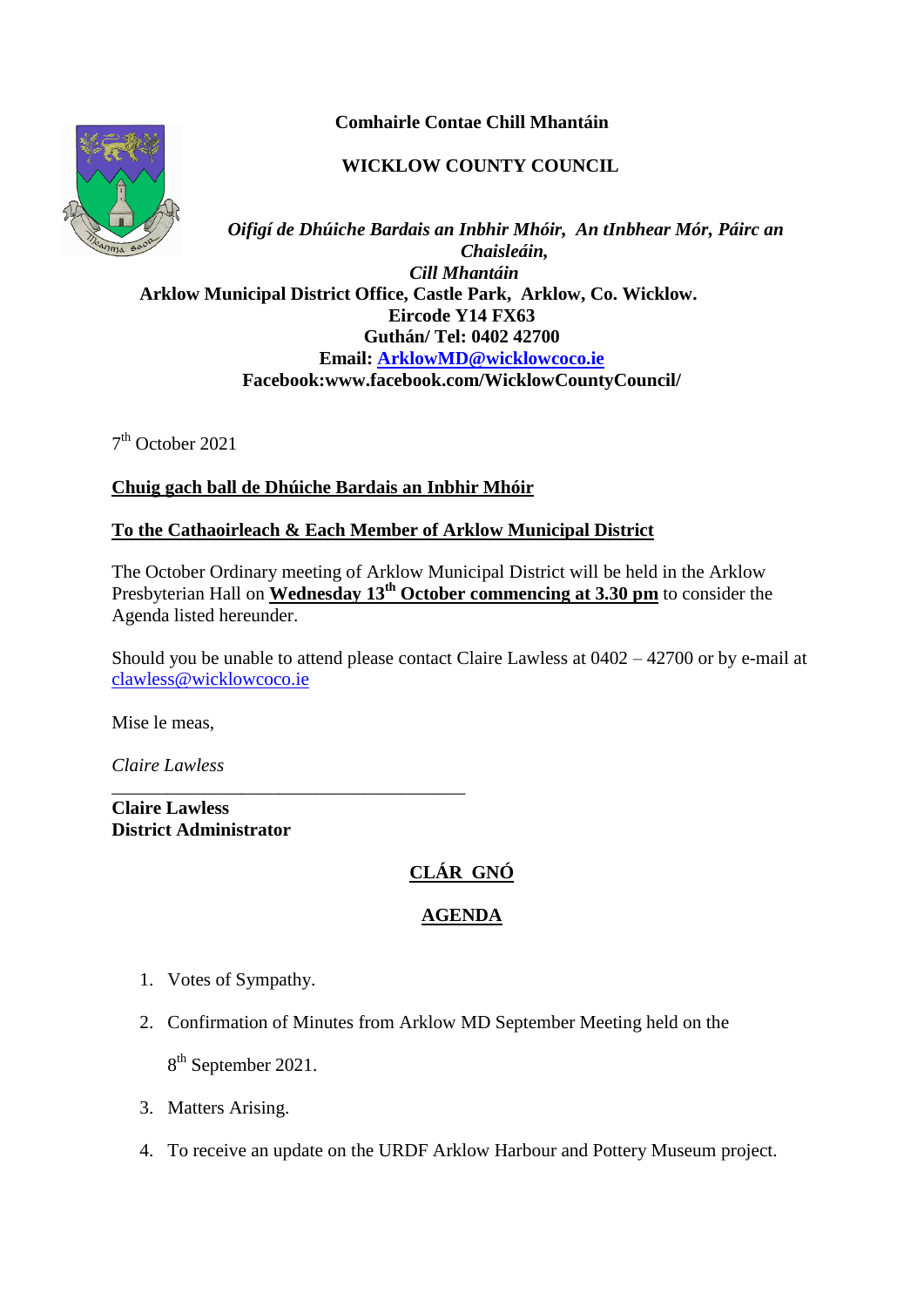**Comhairle Contae Chill Mhantáin**

## **WICKLOW COUNTY COUNCIL**



*Oifigí de Dhúiche Bardais an Inbhir Mhóir, An tInbhear Mór, Páirc an Chaisleáin, Cill Mhantáin*  **Arklow Municipal District Office, Castle Park, Arklow, Co. Wicklow. Eircode Y14 FX63 Guthán/ Tel: 0402 42700 Email: [ArklowMD@wicklowcoco.ie](mailto:ArklowMD@wicklowcoco.ie)  Facebook:www.facebook.com/WicklowCountyCouncil/**

7 th October 2021

## **Chuig gach ball de Dhúiche Bardais an Inbhir Mhóir**

## **To the Cathaoirleach & Each Member of Arklow Municipal District**

The October Ordinary meeting of Arklow Municipal District will be held in the Arklow Presbyterian Hall on **Wednesday 13th October commencing at 3.30 pm** to consider the Agenda listed hereunder.

Should you be unable to attend please contact Claire Lawless at 0402 – 42700 or by e-mail at [clawless@wicklowcoco.ie](mailto:clawless@wicklowcoco.ie)

Mise le meas,

*Claire Lawless*

**Claire Lawless District Administrator** 

\_\_\_\_\_\_\_\_\_\_\_\_\_\_\_\_\_\_\_\_\_\_\_\_\_\_\_\_\_\_\_\_\_\_\_\_\_\_

# **CLÁR GNÓ**

# **AGENDA**

- 1. Votes of Sympathy.
- 2. Confirmation of Minutes from Arklow MD September Meeting held on the

8<sup>th</sup> September 2021.

- 3. Matters Arising.
- 4. To receive an update on the URDF Arklow Harbour and Pottery Museum project.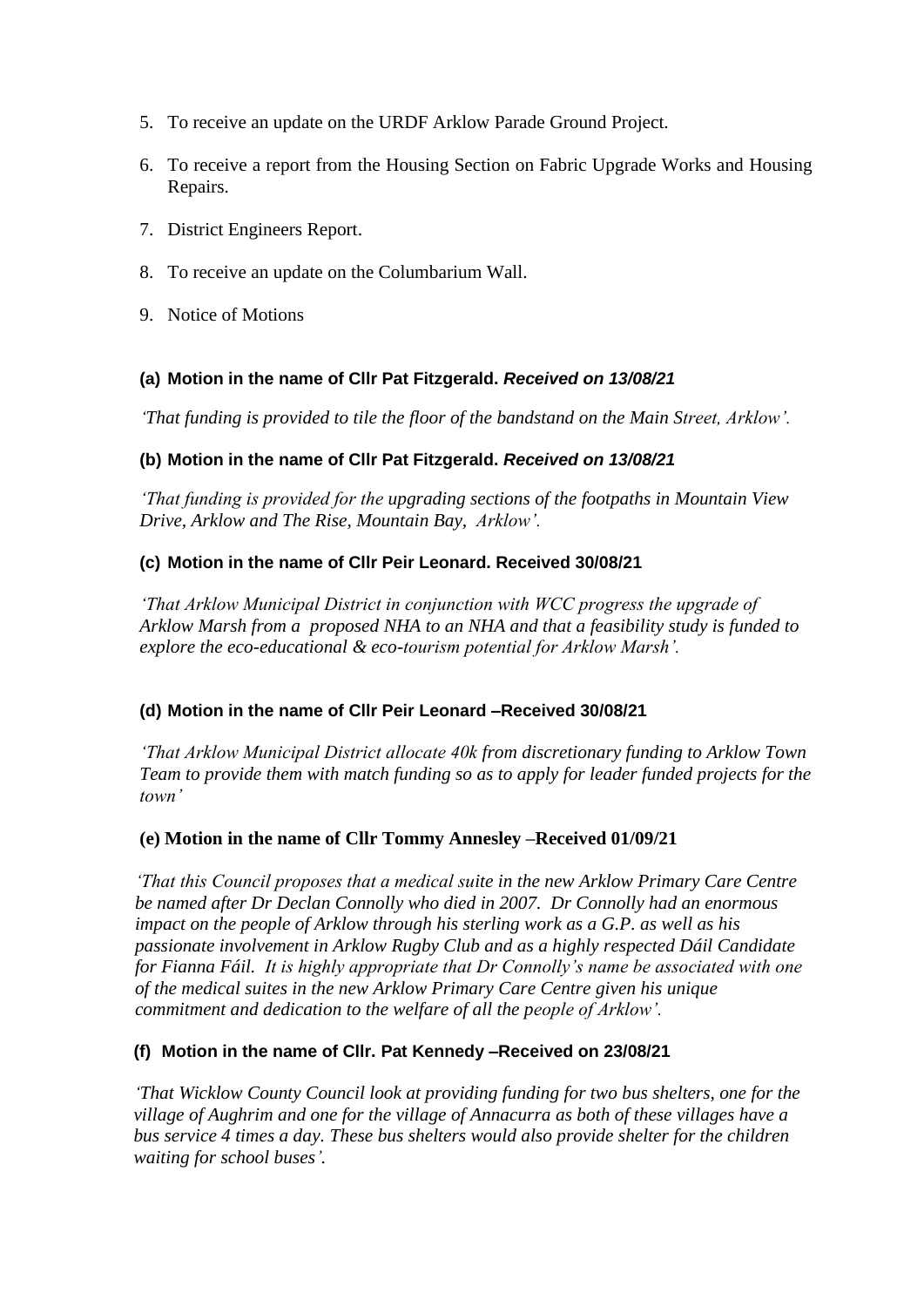- 5. To receive an update on the URDF Arklow Parade Ground Project.
- 6. To receive a report from the Housing Section on Fabric Upgrade Works and Housing Repairs.
- 7. District Engineers Report.
- 8. To receive an update on the Columbarium Wall.
- 9. Notice of Motions

## **(a) Motion in the name of Cllr Pat Fitzgerald.** *Received on 13/08/21*

*'That funding is provided to tile the floor of the bandstand on the Main Street, Arklow'.*

## **(b) Motion in the name of Cllr Pat Fitzgerald.** *Received on 13/08/21*

*'That funding is provided for the upgrading sections of the footpaths in Mountain View Drive, Arklow and The Rise, Mountain Bay, Arklow'.*

## **(c) Motion in the name of Cllr Peir Leonard. Received 30/08/21**

*'That Arklow Municipal District in conjunction with WCC progress the upgrade of Arklow Marsh from a proposed NHA to an NHA and that a feasibility study is funded to explore the eco-educational & eco-tourism potential for Arklow Marsh'.*

## **(d) Motion in the name of Cllr Peir Leonard –Received 30/08/21**

*'That Arklow Municipal District allocate 40k from discretionary funding to Arklow Town Team to provide them with match funding so as to apply for leader funded projects for the town'*

## **(e) Motion in the name of Cllr Tommy Annesley –Received 01/09/21**

*'That this Council proposes that a medical suite in the new Arklow Primary Care Centre be named after Dr Declan Connolly who died in 2007. Dr Connolly had an enormous impact on the people of Arklow through his sterling work as a G.P. as well as his passionate involvement in Arklow Rugby Club and as a highly respected Dáil Candidate for Fianna Fáil. It is highly appropriate that Dr Connolly's name be associated with one of the medical suites in the new Arklow Primary Care Centre given his unique commitment and dedication to the welfare of all the people of Arklow'.*

## **(f) Motion in the name of Cllr. Pat Kennedy –Received on 23/08/21**

*'That Wicklow County Council look at providing funding for two bus shelters, one for the village of Aughrim and one for the village of Annacurra as both of these villages have a bus service 4 times a day. These bus shelters would also provide shelter for the children waiting for school buses'.*